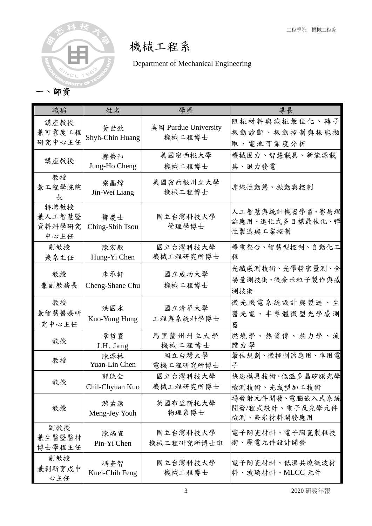

機械工程系

Department of Mechanical Engineering

| 職稱                               | 姓名                     | 學歷                             | 專長                                                |
|----------------------------------|------------------------|--------------------------------|---------------------------------------------------|
| 講座教授<br>兼可靠度工程<br>研究中心主任         | 黄世欽<br>Shyh-Chin Huang | 美國 Purdue University<br>機械工程博士 | 阻振材料與減振最佳化、轉子<br>振動診斷、振動控制與振能擷<br>取、電池可靠度分析       |
| 講座教授                             | 鄭榮和<br>Jung-Ho Cheng   | 美國密西根大學<br>機械工程博士              | 機械固力、智慧載具、新能源載<br>具、風力發電                          |
| 教授<br>兼工程學院院<br>長                | 梁晶煒<br>Jin-Wei Liang   | 美國密西根州立大學<br>機械工程博士            | 非線性動態、振動與控制                                       |
| 特聘教授<br>兼人工智慧暨<br>資料科學研究<br>中心主任 | 鄒慶士<br>Ching-Shih Tsou | 國立台灣科技大學<br>管理學博士              | 人工智慧與統計機器學習、賽局理<br>論應用、進化式多目標最佳化、彈<br>性製造與工業控制    |
| 副教授<br>兼系主任                      | 陳宏毅<br>Hung-Yi Chen    | 國立台灣科技大學<br>機械工程研究所博士          | 機電整合、智慧型控制、自動化工<br>程                              |
| 教授<br>兼副教務長                      | 朱承軒<br>Cheng-Shane Chu | 國立成功大學<br>機械工程博士               | 光纖感測技術、光學精密量測、全<br>場量測技術、微奈米粒子製作與感<br>測技術         |
| 教授<br>兼智慧醫療研<br>究中心主任            | 洪國永<br>Kuo-Yung Hung   | 國立清華大學<br>工程與系統科學博士            | 微光機電系統設計與製造、生<br>醫光電、半導體微型光學感測<br>器               |
| 教授                               | 章哲寰<br>J.H. Jang       | 馬里蘭州州立大學<br>機械工程博士             | 燃燒學、熱質傳、熱力學、流<br>體力學                              |
| 教授                               | 陳源林<br>Yuan-Lin Chen   | 國立台灣大學<br>電機工程研究所博士            | 最佳規劃、微控制器應用、車用電<br>子                              |
| 教授                               | 郭啟全<br>Chil-Chyuan Kuo | 國立台灣科技大學<br>機械工程研究所博士          | 快速模具技術、低溫多晶矽膜光學<br>檢測技術、光成型加工技術                   |
| 教授                               | 游孟潔<br>Meng-Jey Youh   | 英國布里斯托大學<br>物理系博士              | 場發射元件開發、電腦嵌入式系統<br>開發/程式設計、電子及光學元件<br>檢測、奈米材料開發應用 |
| 副教授<br>兼生醫暨醫材<br>博士學程主任          | 陳炳宜<br>Pin-Yi Chen     | 國立台灣科技大學<br>機械工程研究所博士班         | 電子陶瓷材料、電子陶瓷製程技<br>術、壓電元件設計開發                      |
| 副教授<br>兼創新育成中<br>心主任             | 馮奎智<br>Kuei-Chih Feng  | 國立台灣科技大學<br>機械工程博士             | 電子陶瓷材料、低溫共燒微波材<br>料、玻璃材料、MLCC 元件                  |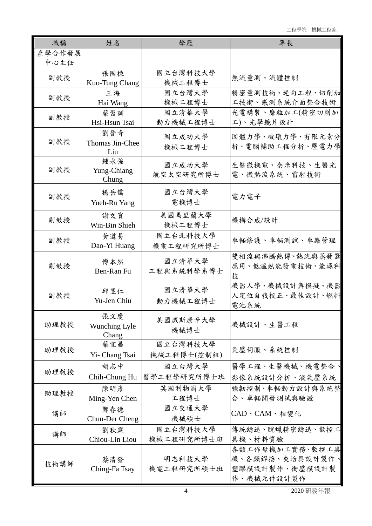工程學院 機械工程系

| 職稱     | 姓名                   | 學歷          | 專長              |
|--------|----------------------|-------------|-----------------|
| 產學合作發展 |                      |             |                 |
| 中心主任   |                      |             |                 |
| 副教授    | 張國棟                  | 國立台灣科技大學    | 熱流量測、流體控制       |
|        | Kuo-Tung Chang       | 機械工程博士      |                 |
| 副教授    | 王海                   | 國立台灣大學      | 精密量測技術、逆向工程、切削加 |
|        | Hai Wang             | 機械工程博士      | 工技術、感測系統介面整合技術  |
| 副教授    | 蔡習訓                  | 國立清華大學      | 光電構裝、磨粒加工(精密切削加 |
|        | Hsi-Hsun Tsai        | 動力機械工程博士    | 工)、光學鏡片設計       |
|        | 劉晉奇                  | 國立成功大學      | 固體力學、破壞力學、有限元素分 |
| 副教授    | Thomas Jin-Chee      | 機械工程博士      | 析、電腦輔助工程分析、壓電力學 |
|        | Liu                  |             |                 |
|        | 鍾永強                  | 國立成功大學      | 生醫微機電、奈米科技、生醫光  |
| 副教授    | Yung-Chiang<br>Chung | 航空太空研究所博士   | 電、微熱流系統、雷射技術    |
|        |                      |             |                 |
| 副教授    | 楊岳儒                  | 國立台灣大學      | 電力電子            |
|        | Yueh-Ru Yang         | 電機博士        |                 |
| 副教授    | 謝文賓                  | 美國馬里蘭大學     | 機構合成/設計         |
|        | Win-Bin Shieh        | 機械工程博士      |                 |
| 副教授    | 黃道易                  | 國立台北科技大學    | 車輛修護、車輛測試、車廠管理  |
|        | Dao-Yi Huang         | 機電工程研究所博士   |                 |
|        |                      | 國立清華大學      | 雙相流與沸騰熱傳、熱沈與蒸發器 |
| 副教授    | 傅本然<br>Ben-Ran Fu    | 工程與系統科學系博士  | 應用、低溫熱能發電技術、能源科 |
|        |                      |             | 技               |
|        | 邱昱仁                  | 國立清華大學      | 機器人學、機械設計與模擬、機器 |
| 副教授    | Yu-Jen Chiu          | 動力機械工程博士    | 人定位自我校正、最佳設計、燃料 |
|        |                      |             | 電池系統            |
|        | 張文慶                  | 美國威斯康辛大學    |                 |
| 助理教授   | Wunching Lyle        | 機械博士        | 機械設計、生醫工程       |
|        | Chang                |             |                 |
| 助理教授   | 蔡宜昌                  | 國立台灣科技大學    | 氣壓伺服、系統控制       |
|        | Yi- Chang Tsai       | 機械工程博士(控制組) |                 |
| 助理教授   | 胡志中                  | 國立台灣大學      | 醫學工程、生醫機械、機電整合、 |
|        | Chih-Chung Hu        | 醫學工程學研究所博士班 | 影像系統設計分析、液氣壓系統  |
| 助理教授   | 陳明彥                  | 英國利物浦大學     | 強韌控制、車輛動力設計與系統整 |
|        | Ming-Yen Chen        | 工程博士        | 合、車輛開發測試與驗證     |
| 講師     | 鄭春德                  | 國立交通大學      | CAD、CAM、相變化     |
|        | Chun-Der Cheng       | 機械碩士        |                 |
|        | 劉秋霖                  | 國立台灣科技大學    | 傳統鑄造、脫蠟精密鑄造、數控工 |
| 講師     | Chiou-Lin Liou       | 機械工程研究所博士班  | 具機、材料實驗         |
|        |                      |             | 各類工作母機加工實務、數控工具 |
| 技術講師   | 蔡清發                  | 明志科技大學      | 機、各類銲接、夾治具設計製作  |
|        | Ching-Fa Tsay        | 機電工程研究所碩士班  | 塑膠模設計製作、衝壓模設計製  |
|        |                      |             | 作、機械元件設計製作      |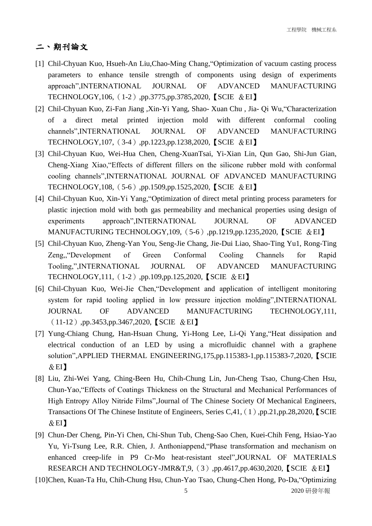### 二、期刊論文

- [1] Chil-Chyuan Kuo, Hsueh-An Liu,Chao-Ming Chang,"Optimization of vacuum casting process parameters to enhance tensile strength of components using design of experiments approach",INTERNATIONAL JOURNAL OF ADVANCED MANUFACTURING TECHNOLOGY,106,(1-2),pp.3775,pp.3785,2020,【SCIE &EI】
- [2] Chil-Chyuan Kuo, Zi-Fan Jiang ,Xin-Yi Yang, Shao- Xuan Chu , Jia- Qi Wu,"Characterization of a direct metal printed injection mold with different conformal cooling channels",INTERNATIONAL JOURNAL OF ADVANCED MANUFACTURING TECHNOLOGY,107,(3-4),pp.1223,pp.1238,2020,【SCIE &EI】
- [3] Chil-Chyuan Kuo, Wei-Hua Chen, Cheng-XuanTsai, Yi-Xian Lin, Qun Gao, Shi-Jun Gian, Cheng-Xiang Xiao,"Effects of different fillers on the silicone rubber mold with conformal cooling channels",INTERNATIONAL JOURNAL OF ADVANCED MANUFACTURING TECHNOLOGY,108,(5-6),pp.1509,pp.1525,2020,【SCIE &EI】
- [4] Chil-Chyuan Kuo, Xin-Yi Yang,"Optimization of direct metal printing process parameters for plastic injection mold with both gas permeability and mechanical properties using design of experiments approach",INTERNATIONAL JOURNAL OF ADVANCED MANUFACTURING TECHNOLOGY,109,(5-6),pp.1219,pp.1235,2020,【SCIE &EI】
- [5] Chil-Chyuan Kuo, Zheng-Yan You, Seng-Jie Chang, Jie-Dui Liao, Shao-Ting Yu1, Rong-Ting Zeng,,"Development of Green Conformal Cooling Channels for Rapid Tooling,",INTERNATIONAL JOURNAL OF ADVANCED MANUFACTURING TECHNOLOGY,111,(1-2),pp.109,pp.125,2020,【SCIE &EI】
- [6] Chil-Chyuan Kuo, Wei-Jie Chen,"Development and application of intelligent monitoring system for rapid tooling applied in low pressure injection molding",INTERNATIONAL JOURNAL OF ADVANCED MANUFACTURING TECHNOLOGY,111,  $(11-12)$ ,pp.3453,pp.3467,2020, SCIE & EI
- [7] Yung-Chiang Chung, Han-Hsuan Chung, Yi-Hong Lee, Li-Qi Yang,"Heat dissipation and electrical conduction of an LED by using a microfluidic channel with a graphene solution",APPLIED THERMAL ENGINEERING,175,pp.115383-1,pp.115383-7,2020, SCIE &EI】
- [8] Liu, Zhi-Wei Yang, Ching-Been Hu, Chih-Chung Lin, Jun-Cheng Tsao, Chung-Chen Hsu, Chun-Yao,"Effects of Coatings Thickness on the Structural and Mechanical Performances of High Entropy Alloy Nitride Films",Journal of The Chinese Society Of Mechanical Engineers, Transactions Of The Chinese Institute of Engineers, Series C,41,(1),pp.21,pp.28,2020,【SCIE &EI】
- [9] Chun-Der Cheng, Pin-Yi Chen, Chi-Shun Tub, Cheng-Sao Chen, Kuei-Chih Feng, Hsiao-Yao Yu, Yi-Tsung Lee, R.R. Chien, J. Anthoniappend,"Phase transformation and mechanism on enhanced creep-life in P9 Cr-Mo heat-resistant steel",JOURNAL OF MATERIALS RESEARCH AND TECHNOLOGY-JMR&T,9, (3),pp.4617,pp.4630,2020, [SCIE &EI]
- [10]Chen, Kuan-Ta Hu, Chih-Chung Hsu, Chun-Yao Tsao, Chung-Chen Hong, Po-Da,"Optimizing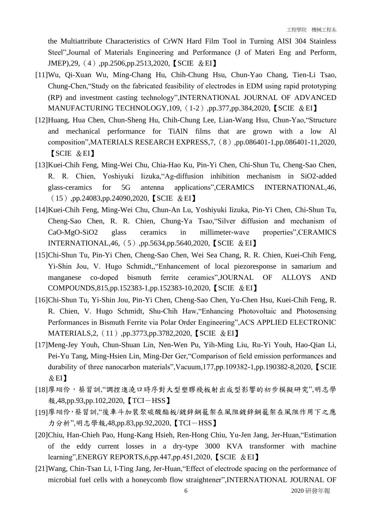the Multiattribute Characteristics of CrWN Hard Film Tool in Turning AISI 304 Stainless Steel",Journal of Materials Engineering and Performance (J of Materi Eng and Perform, JMEP),29,(4),pp.2506,pp.2513,2020,【SCIE &EI】

- [11]Wu, Qi-Xuan Wu, Ming-Chang Hu, Chih-Chung Hsu, Chun-Yao Chang, Tien-Li Tsao, Chung-Chen,"Study on the fabricated feasibility of electrodes in EDM using rapid prototyping (RP) and investment casting technology",INTERNATIONAL JOURNAL OF ADVANCED MANUFACTURING TECHNOLOGY,109,(1-2),pp.377,pp.384,2020,【SCIE &EI】
- [12]Huang, Hua Chen, Chun-Sheng Hu, Chih-Chung Lee, Lian-Wang Hsu, Chun-Yao,"Structure and mechanical performance for TiAlN films that are grown with a low Al composition",MATERIALS RESEARCH EXPRESS,7,(8),pp.086401-1,pp.086401-11,2020, 【SCIE &EI】
- [13]Kuei-Chih Feng, Ming-Wei Chu, Chia-Hao Ku, Pin-Yi Chen, Chi-Shun Tu, Cheng-Sao Chen, R. R. Chien, Yoshiyuki Iizuka,"Ag-diffusion inhibition mechanism in SiO2-added glass-ceramics for 5G antenna applications",CERAMICS INTERNATIONAL,46, (15),pp.24083,pp.24090,2020,【SCIE &EI】
- [14]Kuei-Chih Feng, Ming-Wei Chu, Chun-An Lu, Yoshiyuki Iizuka, Pin-Yi Chen, Chi-Shun Tu, Cheng-Sao Chen, R. R. Chien, Chung-Ya Tsao,"Silver diffusion and mechanism of CaO-MgO-SiO2 glass ceramics in millimeter-wave properties",CERAMICS INTERNATIONAL,46,(5),pp.5634,pp.5640,2020,【SCIE &EI】
- [15]Chi-Shun Tu, Pin-Yi Chen, Cheng-Sao Chen, Wei Sea Chang, R. R. Chien, Kuei-Chih Feng, Yi-Shin Jou, V. Hugo Schmidt,,"Enhancement of local piezoresponse in samarium and manganese co-doped bismuth ferrite ceramics",JOURNAL OF ALLOYS AND COMPOUNDS,815,pp.152383-1,pp.152383-10,2020,【SCIE &EI】
- [16]Chi-Shun Tu, Yi-Shin Jou, Pin-Yi Chen, Cheng-Sao Chen, Yu-Chen Hsu, Kuei-Chih Feng, R. R. Chien, V. Hugo Schmidt, Shu-Chih Haw,"Enhancing Photovoltaic and Photosensing Performances in Bismuth Ferrite via Polar Order Engineering",ACS APPLIED ELECTRONIC MATERIALS, 2, (11), pp.3773, pp.3782, 2020, [SCIE & EI]
- [17]Meng-Jey Youh, Chun-Shuan Lin, Nen-Wen Pu, Yih-Ming Liu, Ru-Yi Youh, Hao-Qian Li, Pei-Yu Tang, Ming-Hsien Lin, Ming-Der Ger,"Comparison of field emission performances and durability of three nanocarbon materials",Vacuum,177,pp.109382-1,pp.190382-8,2020,【SCIE  $\&$  EI
- [18]廖翊伶,蔡習訓,"調控進澆口時序對大型塑膠棧板射出成型影響的初步模擬研究",明志學 報,48,pp.93,pp.102,2020,【TCI-HSS】
- [19]廖翊伶,蔡習訓,"後車斗加裝聚碳酸酯板/鍍鋅鋼籠架在風阻鍍鋅鋼籠架在風阻作用下之應 力分析",明志學報,48,pp.83,pp.92,2020,【TCI-HSS】
- [20]Chiu, Han-Chieh Pao, Hung-Kang Hsieh, Ren-Hong Chiu, Yu-Jen Jang, Jer-Huan,"Estimation of the eddy current losses in a dry-type 3000 KVA transformer with machine learning", ENERGY REPORTS, 6, pp. 447, pp. 451, 2020, [SCIE & EI]
- [21]Wang, Chin-Tsan Li, I-Ting Jang, Jer-Huan,"Effect of electrode spacing on the performance of microbial fuel cells with a honeycomb flow straightener",INTERNATIONAL JOURNAL OF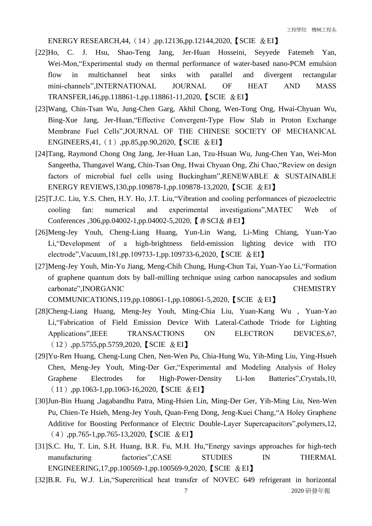ENERGY RESEARCH,44,(14),pp.12136,pp.12144,2020,【SCIE &EI】

- [22]Ho, C. J. Hsu, Shao-Teng Jang, Jer-Huan Hosseini, Seyyede Fatemeh Yan, Wei-Mon,"Experimental study on thermal performance of water-based nano-PCM emulsion flow in multichannel heat sinks with parallel and divergent rectangular mini-channels",INTERNATIONAL JOURNAL OF HEAT AND MASS TRANSFER,146,pp.118861-1,pp.118861-11,2020,【SCIE &EI】
- [23]Wang, Chin-Tsan Wu, Jung-Chen Garg, Akhil Chong, Wen-Tong Ong, Hwai-Chyuan Wu, Bing-Xue Jang, Jer-Huan,"Effective Convergent-Type Flow Slab in Proton Exchange Membrane Fuel Cells",JOURNAL OF THE CHINESE SOCIETY OF MECHANICAL ENGINEERS,41,(1),pp.85,pp.90,2020,【SCIE &EI】
- [24]Tang, Raymond Chong Ong Jang, Jer-Huan Lan, Tzu-Hsuan Wu, Jung-Chen Yan, Wei-Mon Sangeetha, Thangavel Wang, Chin-Tsan Ong, Hwai Chyuan Ong, Zhi Chao,"Review on design factors of microbial fuel cells using Buckingham",RENEWABLE & SUSTAINABLE ENERGY REVIEWS,130,pp.109878-1,pp.109878-13,2020,【SCIE &EI】
- [25]T.J.C. Liu, Y.S. Chen, H.Y. Ho, J.T. Liu,"Vibration and cooling performances of piezoelectric cooling fan: numerical and experimental investigations",MATEC Web of Conferences ,306,pp.04002-1,pp.04002-5,2020, 【非SCI&非EI】
- [26]Meng-Jey Youh, Cheng-Liang Huang, Yun-Lin Wang, Li-Ming Chiang, Yuan-Yao Li,"Development of a high-brightness field-emission lighting device with ITO electrode",Vacuum,181,pp.109733-1,pp.109733-6,2020,【SCIE &EI】
- [27]Meng-Jey Youh, Min-Yu Jiang, Meng-Chih Chung, Hung-Chun Tai, Yuan-Yao Li,"Formation of graphene quantum dots by ball-milling technique using carbon nanocapsules and sodium carbonate",INORGANIC CHEMISTRY

COMMUNICATIONS,119,pp.108061-1,pp.108061-5,2020,【SCIE &EI】

- [28]Cheng-Liang Huang, Meng-Jey Youh, Ming-Chia Liu, Yuan-Kang Wu , Yuan-Yao Li,"Fabrication of Field Emission Device With Lateral-Cathode Triode for Lighting Applications", IEEE TRANSACTIONS ON ELECTRON DEVICES, 67, (12),pp.5755,pp.5759,2020,【SCIE &EI】
- [29]Yu-Ren Huang, Cheng-Lung Chen, Nen-Wen Pu, Chia-Hung Wu, Yih-Ming Liu, Ying-Hsueh Chen, Meng-Jey Youh, Ming-Der Ger,"Experimental and Modeling Analysis of Holey Graphene Electrodes for High-Power-Density Li-Ion Batteries",Crystals,10,  $(11)$ ,pp.1063-1,pp.1063-16,2020, SCIE & EI
- [30]Jun-Bin Huang ,Jagabandhu Patra, Ming-Hsien Lin, Ming-Der Ger, Yih-Ming Liu, Nen-Wen Pu, Chien-Te Hsieh, Meng-Jey Youh, Quan-Feng Dong, Jeng-Kuei Chang,"A Holey Graphene Additive for Boosting Performance of Electric Double-Layer Supercapacitors",polymers,12,  $(4)$ ,pp.765-1,pp.765-13,2020, SCIE & EI
- [31]S.C. Hu, T. Lin, S.H. Huang, B.R. Fu, M.H. Hu,"Energy savings approaches for high-tech manufacturing factories",CASE STUDIES IN THERMAL ENGINEERING,17,pp.100569-1,pp.100569-9,2020,【SCIE &EI】
- 7 2020 研發年報 [32]B.R. Fu, W.J. Lin,"Supercritical heat transfer of NOVEC 649 refrigerant in horizontal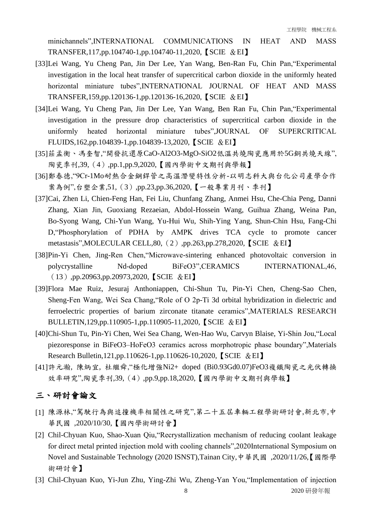minichannels",INTERNATIONAL COMMUNICATIONS IN HEAT AND MASS TRANSFER,117,pp.104740-1,pp.104740-11,2020,【SCIE &EI】

- [33]Lei Wang, Yu Cheng Pan, Jin Der Lee, Yan Wang, Ben-Ran Fu, Chin Pan,"Experimental investigation in the local heat transfer of supercritical carbon dioxide in the uniformly heated horizontal miniature tubes",INTERNATIONAL JOURNAL OF HEAT AND MASS TRANSFER,159,pp.120136-1,pp.120136-16,2020,【SCIE &EI】
- [34]Lei Wang, Yu Cheng Pan, Jin Der Lee, Yan Wang, Ben Ran Fu, Chin Pan,"Experimental investigation in the pressure drop characteristics of supercritical carbon dioxide in the uniformly heated horizontal miniature tubes",JOURNAL OF SUPERCRITICAL FLUIDS,162,pp.104839-1,pp.104839-13,2020,【SCIE &EI】
- [35]莊孟衡、馮奎智,"開發抗還原CaO-Al2O3-MgO-SiO2低溫共燒陶瓷應用於5G銅共燒天線", 陶瓷季刊,39,(4),pp.1,pp.9,2020,【國內學術中文期刊與學報】
- [36]鄭春德,"9Cr-1Mo耐熱合金鋼銲管之高溫潛變特性分析-以明志科大與台化公司產學合作 案為例",台塑企業,51,(3),pp.23,pp.36,2020,【一般專業月刊、季刊】
- [37]Cai, Zhen Li, Chien-Feng Han, Fei Liu, Chunfang Zhang, Anmei Hsu, Che-Chia Peng, Danni Zhang, Xian Jin, Guoxiang Rezaeian, Abdol-Hossein Wang, Guihua Zhang, Weina Pan, Bo-Syong Wang, Chi-Yun Wang, Yu-Hui Wu, Shih-Ying Yang, Shun-Chin Hsu, Fang-Chi D,"Phosphorylation of PDHA by AMPK drives TCA cycle to promote cancer metastasis",MOLECULAR CELL,80,(2),pp.263,pp.278,2020,【SCIE &EI】
- [38]Pin-Yi Chen, Jing-Ren Chen,"Microwave-sintering enhanced photovoltaic conversion in polycrystalline Nd-doped BiFeO3",CERAMICS INTERNATIONAL,46, (13),pp.20963,pp.20973,2020,【SCIE &EI】
- [39]Flora Mae Ruiz, Jesuraj Anthoniappen, Chi-Shun Tu, Pin-Yi Chen, Cheng-Sao Chen, Sheng-Fen Wang, Wei Sea Chang,"Role of O 2p-Ti 3d orbital hybridization in dielectric and ferroelectric properties of barium zirconate titanate ceramics",MATERIALS RESEARCH BULLETIN,129,pp.110905-1,pp.110905-11,2020,【SCIE &EI】
- [40]Chi-Shun Tu, Pin-Yi Chen, Wei Sea Chang, Wen-Hao Wu, Carvyn Blaise, Yi-Shin Jou,"Local piezoresponse in BiFeO3–HoFeO3 ceramics across morphotropic phase boundary",Materials Research Bulletin,121,pp.110626-1,pp.110626-10,2020, [SCIE & EI]
- [41]許元瀚, 陳炳宜, 杜繼舜,"極化增強Ni2+ doped (Bi0.93Gd0.07)FeO3複鐵陶瓷之光伏轉換 效率研究",陶瓷季刊,39,(4),pp.9,pp.18,2020,【國內學術中文期刊與學報】

#### 三、研討會論文

- [1] 陳源林,"駕駛行為與追撞機率相關性之研究",第二十五屆車輛工程學術研討會,新北市,中 華民國 ,2020/10/30,【國內學術研討會】
- [2] Chil-Chyuan Kuo, Shao-Xuan Qiu,"Recrystallization mechanism of reducing coolant leakage for direct metal printed injection mold with cooling channels",2020International Symposium on Novel and Sustainable Technology (2020 ISNST),Tainan City,中華民國 ,2020/11/26,【國際學 術研討會】
- [3] Chil-Chyuan Kuo, Yi-Jun Zhu, Ying-Zhi Wu, Zheng-Yan You,"Implementation of injection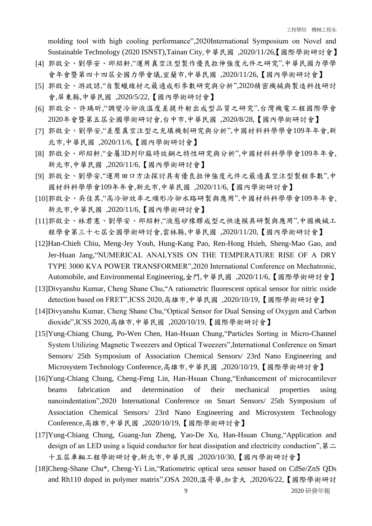molding tool with high cooling performance",2020International Symposium on Novel and Sustainable Technology (2020 ISNST),Tainan City,中華民國 ,2020/11/26,【國際學術研討會】

- [4] 郭啟全、劉學安、邱紹軒,"運用真空注型製作優良拉伸強度元件之研究",中華民國力學學 會年會暨第四十四屆全國力學會議,宜蘭市,中華民國 ,2020/11/26,【國內學術研討會】
- [5] 郭啟全、游政諺,"自製蠟線材之最適成形參數研究與分析",2020精密機械與製造科技研討 會,屏東縣,中華民國 ,2020/5/22,【國內學術研討會】
- [6] 郭啟全、許瑀昕,"調變冷卻液溫度差提升射出成型品質之研究",台灣機電工程國際學會 2020年會暨第五屆全國學術研討會,台中市,中華民國 ,2020/8/28,【國內學術研討會】
- [7] 郭啟全、劉學安,"差壓真空注型之充填機制研究與分析",中國材料科學學會109年年會,新 北市,中華民國 ,2020/11/6,【國內學術研討會】
- [8] 郭啟全、邱紹軒,"金屬3D列印麻時效鋼之特性研究與分析",中國材料科學學會109年年會, 新北市,中華民國 ,2020/11/6,【國內學術研討會】
- [9] 郭啟全、劉學安,"運用田口方法探討具有優良拉伸強度元件之最適真空注型製程參數",中 國材料科學學會109年年會,新北市,中華民國 ,2020/11/6,【國內學術研討會】
- [10]郭啟全、吳佳其,"高冷卻效率之順形冷卻水路研製與應用",中國材料科學學會109年年會, 新北市,中華民國 ,2020/11/6,【國內學術研討會】
- [11]郭啟全、林君憲、劉學安、邱紹軒,"液態矽橡膠成型之快速模具研製與應用",中國機械工 程學會第三十七屆全國學術研討會,雲林縣,中華民國 ,2020/11/20,【國內學術研討會】
- [12]Han-Chieh Chiu, Meng-Jey Youh, Hung-Kang Pao, Ren-Hong Hsieh, Sheng-Mao Gao, and Jer-Huan Jang,"NUMERICAL ANALYSIS ON THE TEMPERATURE RISE OF A DRY TYPE 3000 KVA POWER TRANSFORMER",2020 International Conference on Mechatronic, Automobile, and Environmental Engineering,金門,中華民國 ,2020/11/6,【國際學術研討會】
- [13]Divyanshu Kumar, Cheng Shane Chu,"A ratiometric fluorescent optical sensor for nitric oxide detection based on FRET",ICSS 2020,高雄市,中華民國 ,2020/10/19,【國際學術研討會】
- [14]Divyanshu Kumar, Cheng Shane Chu,"Optical Sensor for Dual Sensing of Oxygen and Carbon dioxide",ICSS 2020,高雄市,中華民國 ,2020/10/19,【國際學術研討會】
- [15]Yung-Chiang Chung, Po-Wen Chen, Han-Hsuan Chung,"Particles Sorting in Micro-Channel System Utilizing Magnetic Tweezers and Optical Tweezers",International Conference on Smart Sensors/ 25th Symposium of Association Chemical Sensors/ 23rd Nano Engineering and Microsystem Technology Conference,高雄市,中華民國 ,2020/10/19,【國際學術研討會】
- [16]Yung-Chiang Chung, Cheng-Feng Lin, Han-Hsuan Chung,"Enhancement of microcantilever beams fabrication and determination of their mechanical properties using nanoindentation",2020 International Conference on Smart Sensors/ 25th Symposium of Association Chemical Sensors/ 23rd Nano Engineering and Microsystem Technology Conference,高雄市,中華民國 ,2020/10/19,【國際學術研討會】
- [17]Yung-Chiang Chung, Guang-Jun Zheng, Yao-De Xu, Han-Hsuan Chung,"Application and design of an LED using a liquid conductor for heat dissipation and electricity conduction", 第二 十五屆車輛工程學術研討會,新北市,中華民國 ,2020/10/30,【國內學術研討會】
- [18]Cheng-Shane Chu\*, Cheng-Yi Lin,"Ratiometric optical urea sensor based on CdSe/ZnS QDs and Rh110 doped in polymer matrix",OSA 2020,溫哥華,加拿大 ,2020/6/22,【國際學術研討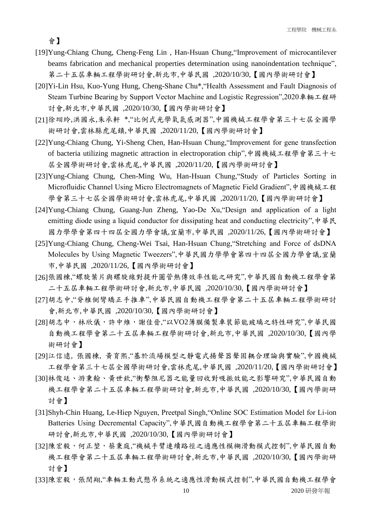會】

- [19]Yung-Chiang Chung, Cheng-Feng Lin , Han-Hsuan Chung,"Improvement of microcantilever beams fabrication and mechanical properties determination using nanoindentation technique", 第二十五屆車輛工程學術研討會,新北市,中華民國 ,2020/10/30,【國內學術研討會】
- [20]Yi-Lin Hsu, Kuo-Yung Hung, Cheng-Shane Chu\*,"Health Assessment and Fault Diagnosis of Steam Turbine Bearing by Support Vector Machine and Logistic Regression",2020車輛工程研 討會,新北市,中華民國 ,2020/10/30,【國內學術研討會】
- [21]徐翊玲,洪國永,朱承軒 \*,"比例式光學氧氣感測器",中國機械工程學會第三十七屆全國學 術研討會,雲林縣虎尾鎮,中華民國 ,2020/11/20,【國內學術研討會】
- [22]Yung-Chiang Chung, Yi-Sheng Chen, Han-Hsuan Chung,"Improvement for gene transfection of bacteria utilizing magnetic attraction in electroporation chip",中國機械工程學會第三十七 屆全國學術研討會,雲林虎尾,中華民國 ,2020/11/20,【國內學術研討會】
- [23]Yung-Chiang Chung, Chen-Ming Wu, Han-Hsuan Chung,"Study of Particles Sorting in Microfluidic Channel Using Micro Electromagnets of Magnetic Field Gradient",中國機械工程 學會第三十七屆全國學術研討會,雲林虎尾,中華民國 ,2020/11/20,【國內學術研討會】
- [24]Yung-Chiang Chung, Guang-Jun Zheng, Yao-De Xu,"Design and application of a light emitting diode using a liquid conductor for dissipating heat and conducting electricity", 中華民 國力學學會第四十四屆全國力學會議,宜蘭市,中華民國 ,2020/11/26,【國內學術研討會】
- [25]Yung-Chiang Chung, Cheng-Wei Tsai, Han-Hsuan Chung,"Stretching and Force of dsDNA Molecules by Using Magnetic Tweezers",中華民國力學學會第四十四屆全國力學會議,宜蘭 市,中華民國 ,2020/11/26,【國內學術研討會】
- [26]張國棟,"螺旋葉片與螺旋線對提升圓管熱傳效率性能之研究",中華民國自動機工程學會第 二十五屆車輛工程學術研討會,新北市,中華民國 ,2020/10/30,【國內學術研討會】
- [27]胡志中,"脊椎側彎矯正手推車",中華民國自動機工程學會第二十五屆車輛工程學術研討 會,新北市,中華民國 ,2020/10/30,【國內學術研討會】
- [28]胡志中,林欣儀,許中維,謝佳晉,"以VO2薄膜備製車裝節能玻璃之特性研究",中華民國 自動機工程學會第二十五屆車輛工程學術研討會,新北市,中華民國 ,2020/10/30,【國內學 術研討會】
- [29]江信遠, 張國棟, 黃育熙,"基於流場模型之靜電式揚聲器聲固耦合理論與實驗",中國機械 工程學會第三十七屆全國學術研討會,雲林虎尾,中華民國 ,2020/11/20,【國內學術研討會】
- [30]林俊廷、游秉翰、黃世欽,"衝擊阻尼器之能量回收對吸振效能之影響研究",中華民國自動 機工程學會第二十五屆車輛工程學術研討會,新北市,中華民國 ,2020/10/30,【國內學術研 討會】
- [31]Shyh-Chin Huang, Le-Hiep Nguyen, Preetpal Singh,"Online SOC Estimation Model for Li-ion Batteries Using Decremental Capacity",中華民國自動機工程學會第二十五屆車輛工程學術 研討會,新北市,中華民國 ,2020/10/30,【國內學術研討會】
- [32]陳宏毅,何正堃,蔡秉庭,"機械手臂連續路徑之適應性模糊滑動模式控制",中華民國自動 機工程學會第二十五屆車輛工程學術研討會,新北市,中華民國 ,2020/10/30,【國內學術研 討會】
- 10 2020 研發年報 [33]陳宏毅,張閔翔,"車輛主動式懸吊系統之適應性滑動模式控制",中華民國自動機工程學會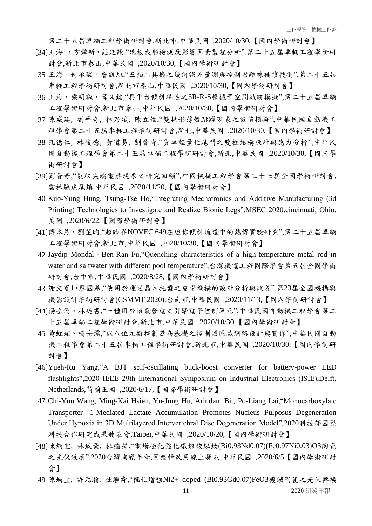第二十五屆車輛工程學術研討會,新北市,中華民國 ,2020/10/30,【國內學術研討會】

- [34]王海,方舜新,莊廷謙,"端板成形檢測及影響因素製程分析",第二十五屆車輛工程學術研 討會,新北市泰山,中華民國 ,2020/10/30,【國內學術研討會】
- [35]王海,何承駿,詹凱旭,"五軸工具機之幾何誤差量測與控制器離線補償技術",第二十五屆 車輛工程學術研討會,新北市泰山,中華民國 ,2020/10/30,【國內學術研討會】
- [36]王海,梁明叡,薛又銘,"具平台傾斜特性之3R-R-S機械臂空間軌跡模擬",第二十五屆車輛 工程學術研討會,新北市泰山,中華民國 ,2020/10/30,【國內學術研討會】
- [37]陳威廷, 劉晉奇, 林乃斌, 陳立偉,"雙拱形薄殼跳躍現象之數值模擬",中華民國自動機工 程學會第二十五屆車輛工程學術研討會,新北,中華民國 ,2020/10/30,【國內學術研討會】
- [38]孔德仁, 林峻德, 黃道易, 劉晉奇,"貨車輕量化尾門之雙柱結構設計與應力分析",中華民 國自動機工程學會第二十五屆車輛工程學術研討會,新北,中華民國 ,2020/10/30,【國內學 術研討會】
- [39]劉晉奇,"裂紋尖端電熱現象之研究回顧",中國機械工程學會第三十七屆全國學術研討會, 雲林縣虎尾鎮,中華民國 ,2020/11/20,【國內學術研討會】
- [40]Kuo-Yung Hung, Tsung-Tse Ho,"Integrating Mechatronics and Additive Manufacturing (3d Printing) Technologies to Investigate and Realize Bionic Legs",MSEC 2020,cincinnati, Ohio, 美國 ,2020/6/22,【國際學術研討會】
- [41]傅本然,劉芷昀,"超臨界NOVEC 649在迷你傾斜流道中的熱傳實驗研究",第二十五屆車輛 工程學術研討會,新北市,中華民國 ,2020/10/30,【國內學術研討會】
- [42]Jaydip Mondal, Ben-Ran Fu, "Quenching characteristics of a high-temperature metal rod in water and saltwater with different pool temperature",台灣機電工程國際學會第五屆全國學術 研討會,台中市,中華民國 ,2020/8/28,【國內學術研討會】
- [43]謝文賓1,廖國基,"使用於運送晶片托盤之皮帶機構的設計分析與改善",第23屆全國機構與 機器設計學術研討會(CSMMT 2020),台南市,中華民國 ,2020/11/13,【國內學術研討會】
- [44]楊岳儒、林廷書,"一種用於沼氣發電之引擎電子控制單元",中華民國自動機工程學會第二 十五屆車輛工程學術研討會,新北市,中華民國 ,2020/10/30,【國內學術研討會】
- [45]黃虹媚、楊岳儒,"以八位元微控制器為基礎之控制器區域網路設計與實作",中華民國自動 機工程學會第二十五屆車輛工程學術研討會,新北市,中華民國 ,2020/10/30,【國內學術研 討會】
- [46]Yueh-Ru Yang,"A BJT self-oscillating buck-boost converter for battery-power LED flashlights",2020 IEEE 29th International Symposium on Industrial Electronics (ISIE),Delft, Netherlands,荷蘭王國 ,2020/6/17,【國際學術研討會】
- [47]Chi-Yun Wang, Ming-Kai Hsieh, Yu-Jung Hu, Arindam Bit, Po-Liang Lai,"Monocarboxylate Transporter -1-Mediated Lactate Accumulation Promotes Nucleus Pulposus Degeneration Under Hypoxia in 3D Multilayered Intervertebral Disc Degeneration Model",2020科技部國際 科技合作研究成果發表會,Taipei,中華民國 ,2020/10/20,【國內學術研討會】
- [48]陳炳宜, 林致豪, 杜繼舜,"電場極化強化鐵鎳酸鉍釹(Bi0.93Nd0.07)(Fe0.97Ni0.03)O3陶瓷 之光伏效應",2020台灣陶瓷年會,因疫情改用線上發表,中華民國 ,2020/6/5,【國內學術研討 會】
- 11 2020 研發年報 [49]陳炳宜, 許元瀚, 杜繼舜,"極化增強Ni2+ doped (Bi0.93Gd0.07)FeO3複鐵陶瓷之光伏轉換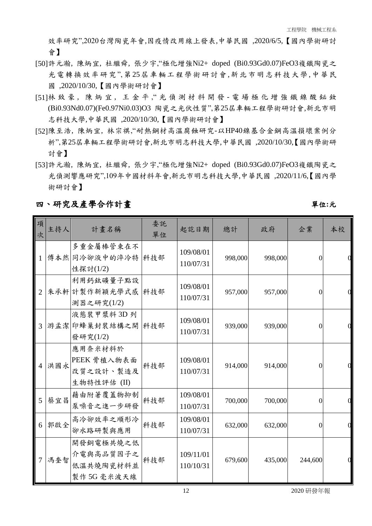效率研究",2020台灣陶瓷年會,因疫情改用線上發表,中華民國 ,2020/6/5,【國內學術研討 會】

- [50]許元瀚, 陳炳宜, 杜繼舜, 張少宇,"極化增強Ni2+ doped (Bi0.93Gd0.07)FeO3複鐵陶瓷之 光電轉換效率研究",第25屆車輛工程學術研討會 ,新北市明志科技大學,中華民 國 ,2020/10/30,【國內學術研討會】
- [51]林致豪, 陳炳宜, 王金平,"光偵測材料開發-電場極化增強鐵鎳酸鈔釹 (Bi0.93Nd0.07)(Fe0.97Ni0.03)O3 陶瓷之光伏性質",第25屆車輛工程學術研討會,新北市明 志科技大學,中華民國 ,2020/10/30,【國內學術研討會】
- [52]陳至浩, 陳炳宜, 林宗祺,"耐熱鋼材高溫腐蝕研究-以HP40鎳基合金鋼高溫損壞案例分 析",第25屆車輛工程學術研討會,新北市明志科技大學,中華民國 ,2020/10/30,【國內學術研 討會】
- [53]許元瀚, 陳炳宜, 杜繼舜, 張少宇,"極化增強Ni2+ doped (Bi0.93Gd0.07)FeO3複鐵陶瓷之 光偵測響應研究",109年中國材料年會,新北市明志科技大學,中華民國 ,2020/11/6,【國內學 術研討會】

| 項<br>次         | 主持人 | 計畫名稱                                               | 委託<br>單位 | 起訖日期                   | 總計      | 政府      | 企業             | 本校       |
|----------------|-----|----------------------------------------------------|----------|------------------------|---------|---------|----------------|----------|
| $\mathbf{1}$   |     | 多重金屬棒管束在不<br>傅本然 同冷卻液中的淬冷特 科技部<br>性探討(1/2)         |          | 109/08/01<br>110/07/31 | 998,000 | 998,000 | 0              |          |
| $\overline{2}$ |     | 利用鈣鈦礦量子點設<br>朱承軒 計製作新穎光學式感<br>測器之研究(1/2)           | 科技部      | 109/08/01<br>110/07/31 | 957,000 | 957,000 | 0              |          |
| 3              |     | 液態裝甲漿料 3D 列<br>游孟潔 印蜂巢封裝結構之開<br>發研究(1/2)           | 科技部      | 109/08/01<br>110/07/31 | 939,000 | 939,000 | $\Omega$       |          |
| $\overline{4}$ | 洪國永 | 應用奈米材料於<br>PEEK 骨植入物表面<br>改質之設計、製造及<br>生物特性評估 (II) | 科技部      | 109/08/01<br>110/07/31 | 914,000 | 914,000 | $\theta$       | $\left($ |
| 5              | 蔡宜昌 | 藉由附著覆蓋物抑制<br>泵噪音之進一步研發                             | 科技部      | 109/08/01<br>110/07/31 | 700,000 | 700,000 | 0              |          |
| 6              | 郭啟全 | 高冷卻效率之順形冷<br>卻水路研製與應用                              | 科技部      | 109/08/01<br>110/07/31 | 632,000 | 632,000 | $\overline{0}$ | 0        |
| $\overline{7}$ | 馮奎智 | 開發銅電極共燒之低<br>介電與高品質因子之<br>低温共燒陶瓷材料並<br>製作 5G 毫米波天線 | 科技部      | 109/11/01<br>110/10/31 | 679,600 | 435,000 | 244,600        | $\left($ |

### 四、研究及產學合作計畫<br>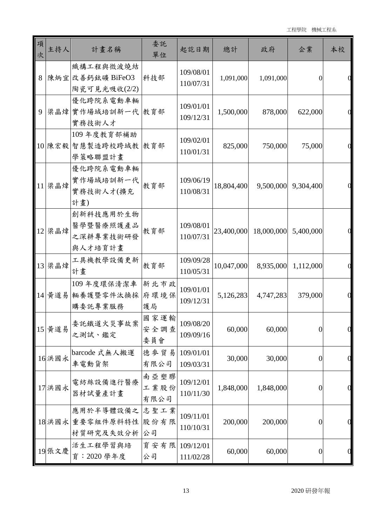| 項<br>次 | 主持人        | 計畫名稱                                           | 委託<br>單位             | 起訖日期                   | 總計         | 政府                   | 企業               | 本校 |
|--------|------------|------------------------------------------------|----------------------|------------------------|------------|----------------------|------------------|----|
| 8      |            | 織構工程與微波燒結<br> 陳炳宜 改善鈣鈦礦 BiFeO3<br>陶瓷可見光吸收(2/2) | 科技部                  | 109/08/01<br>110/07/31 | 1,091,000  | 1,091,000            | $\theta$         |    |
| 9      |            | 優化跨院系電動車輛<br> 梁晶煒 實作場域培訓新一代 教育部<br>實務技術人才      |                      | 109/01/01<br>109/12/31 | 1,500,000  | 878,000              | 622,000          |    |
|        |            | 109年度教育部補助<br>10 陳宏毅 智慧製造跨校跨域教 教育部<br>學策略聯盟計畫  |                      | 109/02/01<br>110/01/31 | 825,000    | 750,000              | 75,000           |    |
|        | 11 梁晶煒     | 優化跨院系電動車輛<br>實作場域培訓新一代<br>實務技術人才(擴充<br>計畫)     | 教育部                  | 109/06/19<br>110/08/31 | 18,804,400 | 9,500,000            | 9,304,400        |    |
|        | $ 12 $ 梁晶煒 | 創新科技應用於生物<br>醫學暨醫療照護產品<br>之深耕專業技術研發<br>與人才培育計畫 | 教育部                  | 109/08/01<br>110/07/31 | 23,400,000 | 18,000,000 5,400,000 |                  |    |
|        | 13 梁晶煒     | 工具機教學設備更新<br>計畫                                | 教育部                  | 109/09/28<br>110/05/31 | 10,047,000 | 8,935,000            | 1,112,000        |    |
|        | 14 黃道易     | 109年度環保清潔車<br>輛養護暨零件汰換採<br>購委託專業服務             | 新北市政<br>府環境保<br>護局   | 109/01/01<br>109/12/31 | 5,126,283  | 4,747,283            | 379,000          |    |
|        | 15 黄道易     | 委託鐵道火災事故案<br>之測試、鑑定                            | 國家運輸<br>安全調查<br>委員會  | 109/08/20<br>109/09/16 | 60,000     | 60,000               | $\boldsymbol{0}$ |    |
|        | 16 洪國永     | barcode 式無人搬運<br>車電動貨架                         | 德麥貿易<br>有限公司         | 109/01/01<br>109/03/31 | 30,000     | 30,000               | $\boldsymbol{0}$ |    |
|        | 17 洪國永     | 電紡絲設備進行醫療<br>器材試量產計畫                           | 南亞塑膠<br>工業股份<br>有限公司 | 109/12/01<br>110/11/30 | 1,848,000  | 1,848,000            | $\boldsymbol{0}$ |    |
|        |            | 應用於半導體設備之<br>18 洪國永 重要零組件原料特性<br>材質研究及失效分析     | 志聖工業<br>股份有限<br>公司   | 109/11/01<br>110/10/31 | 200,000    | 200,000              | $\boldsymbol{0}$ |    |
|        | 19 張文慶     | 活生工程學習與培<br>育: 2020 學年度                        | 育安有限<br>公司           | 109/12/01<br>111/02/28 | 60,000     | 60,000               | $\boldsymbol{0}$ |    |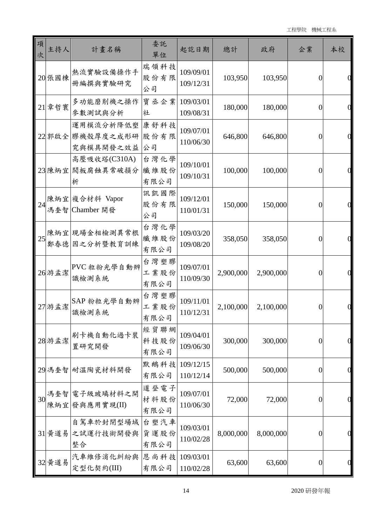| 項<br>次 | 主持人        | 計畫名稱                                       | 委託<br>單位                  | 起訖日期                   | 總計        | 政府        | 企業               | 本校 |
|--------|------------|--------------------------------------------|---------------------------|------------------------|-----------|-----------|------------------|----|
|        | 20 張國棟     | 熱流實驗設備操作手<br>冊編撰與實驗研究                      | 瑞領科技<br>股份有限<br>公司        | 109/09/01<br>109/12/31 | 103,950   | 103,950   | $\overline{0}$   |    |
|        | $21$ 章哲寰   | 多功能磨削機之操作<br>參數測試與分析                       | 寶丞企業<br>社                 | 109/03/01<br>109/08/31 | 180,000   | 180,000   | $\boldsymbol{0}$ |    |
|        |            | 運用模流分析降低塑<br>22 郭啟全 膠機殼厚度之成形研<br>究與模具開發之效益 | 康舒科技<br>股份有限<br>公司        | 109/07/01<br>110/06/30 | 646,800   | 646,800   | $\boldsymbol{0}$ |    |
|        |            | 高壓吸收塔(C310A)<br>23 陳炳宜 閥板腐蝕異常破損分<br>析      | 台灣化學<br>纖維股份<br>有限公司      | 109/10/01<br>109/10/31 | 100,000   | 100,000   | $\boldsymbol{0}$ |    |
| 24     | 馮奎智        | 陳炳宜 複合材料 Vapor<br>Chamber 開發               | 訊凱國際<br>股份有限<br>公司        | 109/12/01<br>110/01/31 | 150,000   | 150,000   | $\overline{0}$   |    |
| 25     | 鄭春德        | 陳炳宜 現場金相檢測異常根<br>因之分析暨教育訓練                 | 台灣化學<br>纖維股份<br>有限公司      | 109/03/20<br>109/08/20 | 358,050   | 358,050   | $\overline{0}$   |    |
|        | 26 游孟潔     | PVC 粒粉光學自動辨<br>識檢測系統                       | 台灣塑膠<br>工業股份<br>有限公司      | 109/07/01<br>110/09/30 | 2,900,000 | 2,900,000 | $\overline{0}$   |    |
|        | 27 游孟潔     | SAP 粉粒光學自動辨<br>識檢測系統                       | 台灣塑膠<br>工業股份<br>有限公司      | 109/11/01<br>110/12/31 | 2,100,000 | 2,100,000 | $\boldsymbol{0}$ |    |
|        | 28 游孟潔     | 刷卡機自動化過卡裝<br>置研究開發                         | 經貿聯網<br>科技股份<br>有限公司      | 109/04/01<br>109/06/30 | 300,000   | 300,000   | $\boldsymbol{0}$ |    |
|        | 29 馮奎智     | 耐溫陶瓷材料開發                                   | 默 鵝 科 技 109/12/15<br>有限公司 | 110/12/14              | 500,000   | 500,000   | $\boldsymbol{0}$ |    |
| 30     | 馮奎智<br>陳炳宜 | 電子級玻璃材料之開<br>發與應用實現(II)                    | 道登電子<br>材料股份<br>有限公司      | 109/07/01<br>110/06/30 | 72,000    | 72,000    | $\boldsymbol{0}$ |    |
|        | $31$ 黃道易   | 自駕車於封閉型場域<br>之試運行技術開發與<br>整合               | 台塑汽車<br>貨運股份<br>有限公司      | 109/03/01<br>110/02/28 | 8,000,000 | 8,000,000 | $\boldsymbol{0}$ |    |
|        | 32 黄道易     | 汽車維修消化糾紛與<br>定型化契约(III)                    | 恩尚科技<br>有限公司              | 109/03/01<br>110/02/28 | 63,600    | 63,600    | $\boldsymbol{0}$ |    |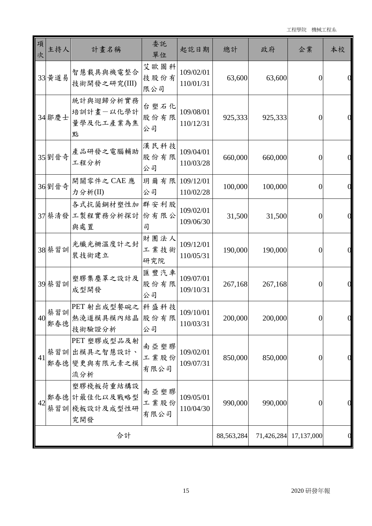| 項<br>次 | 主持人        | 計畫名稱                                              | 委託<br>單位             | 起訖日期                   | 總計         | 政府      | 企業                    | 本校 |
|--------|------------|---------------------------------------------------|----------------------|------------------------|------------|---------|-----------------------|----|
|        | 33 黄道易     | 智慧載具與機電整合<br>技術開發之研究(III)                         | 艾歐圖科<br>技股份有<br>限公司  | 109/02/01<br>110/01/31 | 63,600     | 63,600  | $\overline{0}$        |    |
|        | 34 鄒慶士     | 統計與迴歸分析實務<br>培訓計畫一以化學計<br>量學及化工產業為焦<br>點          | 台塑石化<br>股份有限<br>公司   | 109/08/01<br>110/12/31 | 925,333    | 925,333 | $\overline{0}$        |    |
|        | 35 劉晉奇     | 產品研發之電腦輔助<br>工程分析                                 | 漢民科技<br>股份有限<br>公司   | 109/04/01<br>110/03/28 | 660,000    | 660,000 | $\overline{0}$        |    |
|        | 36 劉晉奇     | 開關零件之 CAE 應<br>力分析(II)                            | 玥爾有限 109/12/01<br>公司 | 110/02/28              | 100,000    | 100,000 | $\overline{0}$        |    |
|        |            | 各式抗菌鋼材塑性加<br>37 蔡清發 工製程實務分析探討<br>與處置              | 群安利股<br>份有限公<br>司    | 109/02/01<br>109/06/30 | 31,500     | 31,500  | $\overline{0}$        |    |
|        | 38 蔡習訓     | 光纖光柵溫度計之封<br>裝技術建立                                | 財團法人<br>工業技術<br>研究院  | 109/12/01<br>110/05/31 | 190,000    | 190,000 | $\Omega$              |    |
|        | 39 蔡習訓     | 塑膠集塵罩之設計及<br>成型開發                                 | 匯豐汽車<br>股份有限<br>公司   | 109/07/01<br>109/10/31 | 267,168    | 267,168 | $\overline{0}$        |    |
| 40     | 蔡習訓<br>鄭春德 | PET 射出成型餐碗之<br>熱澆道模具模內結晶 股份有限<br>技術驗證分析           | 科盛科技<br>公司           | 109/10/01<br>110/03/31 | 200,000    | 200,000 | $\overline{0}$        |    |
| 41     | 蔡習訓<br>鄭春德 | PET 塑膠成型品及射<br>出模具之智慧設計、<br>變更與有限元素之模<br>流分析      | 南亞塑膠<br>工業股份<br>有限公司 | 109/02/01<br>109/07/31 | 850,000    | 850,000 | $\theta$              |    |
| 42     |            | 塑膠棧板荷重結構設<br>鄭春德 計最佳化以及戰略型<br>蔡習訓機板設計及成型性研<br>究開發 | 南亞塑膠<br>工業股份<br>有限公司 | 109/05/01<br>110/04/30 | 990,000    | 990,000 | $\overline{0}$        |    |
|        |            | 合計                                                |                      |                        | 88,563,284 |         | 71,426,284 17,137,000 |    |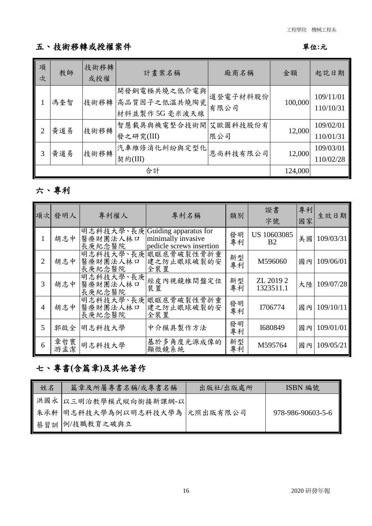### 五、技術移轉或授權案件 **2000年** 2000年 2000年 2001年 2012年 2012年 2012年 2012年 2012年 2012年 2012年 2012年 2012年 2012年 2012年 2012年 2012年 2012年 2012年 2012年 2012年 2012年 2012年 2012年 2012年 2012年 2012年 2012年 2012年 2013年 2013年 2013年 2013年 2013年 2013

| 項<br>次 | 教師  | 技術移轉<br>或授權 | 計畫案名稱                                          | 廠商名稱             | 金額      | 起訖日期                   |
|--------|-----|-------------|------------------------------------------------|------------------|---------|------------------------|
|        | 馮奎智 | 技術移轉        | 開發銅電極共燒之低介電與<br>高品質因子之低溫共燒陶瓷<br>材料並製作 5G 毫米波天線 | 道登電子材料股份<br>有限公司 | 100,000 | 109/11/01<br>110/10/31 |
| 2      | 黃道易 | 技術移轉        | 智慧載具與機電整合技術開议歐圖科技股份有<br>發之研究(III)              | 限公司              | 12,000  | 109/02/01<br>110/01/31 |
| 3      | 黄道易 | 技術移轉        | 汽車維修消化糾紛與定型化<br>契約(III)                        | 恩尚科技有限公司         | 12,000  | 109/03/01<br>110/02/28 |
|        |     |             | 合計                                             |                  | 124,000 |                        |

### 六、專利

| 項次             | 發明人        | 專利權人                            | 專利名稱                                                                              | 類別       | 證書<br>字號                      | 專利<br>國家 | 生效日期      |
|----------------|------------|---------------------------------|-----------------------------------------------------------------------------------|----------|-------------------------------|----------|-----------|
| 1              | 胡志中        | 醫療財團法人林口<br>長庚紀念醫院              | 明志科技大學、長庚 Guiding apparatus for<br>minimally invasive<br>pedicle screws insertion | 發明<br>專利 | US 10603085<br>B <sub>2</sub> | 美國       | 109/03/31 |
| $\overline{2}$ | 胡志中        | 明志科技大學、長庚<br>醫療財團法人林口<br>長庚紀念醫院 | 眼眶底骨破裂性骨折重<br>建之防止眼球破裂的安<br>全裝置                                                   | 新型<br>專利 | M596060                       | 國內       | 109/06/01 |
| 3              | 胡志中        | 明志科技大學、長庚<br>醫療財團法人林口<br>長庚紀念醫院 | 經皮內視鏡椎間盤定位<br>装置                                                                  | 新型<br>專利 | ZL 2019 2<br>1323511.1        | 大陸       | 109/07/28 |
| 4              | 胡志中        | 明志科技大學、長庚<br>醫療財團法人林口<br>長庚紀念醫院 | 眼眶底骨破裂性骨折重<br>建之防止眼球破裂的安<br>全裝置                                                   | 發明<br>專利 | I706774                       | 國內       | 109/10/11 |
| 5              | 郭啟全        | 明志科技大學                          | 中介模具製作方法                                                                          | 發明<br>專利 | I680849                       | 國內       | 109/01/01 |
| 6              | 章哲寰<br>游孟潔 | 明志科技大學                          | 基於多角度光源成像的<br>顯微鏡系統                                                               | 新型<br>專利 | M595764                       | 國內       | 109/05/21 |

# 七、專書**(**含篇章**)**及其他著作

| 姓名 | 篇章及所屬專書名稱/或專書名稱                 | 出版社/出版處所 | ISBN 編號           |
|----|---------------------------------|----------|-------------------|
|    | 洪國水 以三明治教學模式縱向銜接新課綱-以           |          |                   |
|    | 朱承軒  明志科技大學為例以明志科技大學為  元照出版有限公司 |          | 978-986-90603-5-6 |
|    | 蔡習訓 例/技職教育之破與立                  |          |                   |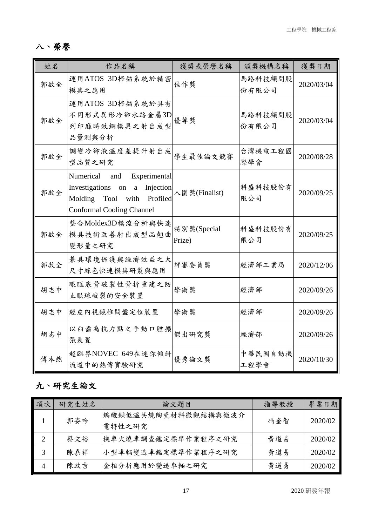# 八、榮譽

| 姓名  | 作品名稱                                                                                                                                   | 獲獎或榮譽名稱               | 頒獎機構名稱           | 獲獎日期       |
|-----|----------------------------------------------------------------------------------------------------------------------------------------|-----------------------|------------------|------------|
| 郭啟全 | 運用ATOS 3D掃描系統於精密<br>模具之應用                                                                                                              | 佳作獎                   | 馬路科技顧問股<br>份有限公司 | 2020/03/04 |
| 郭啟全 | 運用ATOS 3D掃描系統於具有<br>不同形式異形冷卻水路金屬3D<br>列印麻時效鋼模具之射出成型<br>品量測與分析                                                                          | 優等獎                   | 馬路科技顧問股<br>份有限公司 | 2020/03/04 |
| 郭啟全 | 調變冷卻液溫度差提升射出成<br>型品質之研究                                                                                                                | 學生最佳論文競賽              | 台灣機電工程國<br>際學會   | 2020/08/28 |
| 郭啟全 | Experimental<br>and<br>Numerical<br>Investigations on a Injection<br>Molding<br>Tool with Profiled<br><b>Conformal Cooling Channel</b> | 入圍獎(Finalist)         | 科盛科技股份有<br>限公司   | 2020/09/25 |
| 郭啟全 | 整合Moldex3D模流分析與快速<br>模具技術改善射出成型品翹曲<br>變形量之研究                                                                                           | 特別獎(Special<br>Prize) | 科盛科技股份有<br>限公司   | 2020/09/25 |
| 郭啟全 | 兼具環境保護與經濟效益之大<br>尺寸綠色快速模具研製與應用                                                                                                         | 評審委員獎                 | 經濟部工業局           | 2020/12/06 |
| 胡志中 | 眼眶底骨破裂性骨折重建之防<br>止眼球破裂的安全裝置                                                                                                            | 學術獎                   | 經濟部              | 2020/09/26 |
| 胡志中 | 經皮內視鏡椎間盤定位裝置                                                                                                                           | 學術獎                   | 經濟部              | 2020/09/26 |
| 胡志中 | 以臼齒為抗力點之手動口腔擴<br>張裝置                                                                                                                   | 傑出研究獎                 | 經濟部              | 2020/09/26 |
| 傅本然 | 超臨界NOVEC 649在迷你傾斜<br>流道中的熱傳實驗研究                                                                                                        | 優秀論文獎                 | 中華民國自動機<br>工程學會  | 2020/10/30 |

# 九、研究生論文

| 項次 | 研究生姓名 | 論文題目                          | 指導教授 | 畢業日期    |
|----|-------|-------------------------------|------|---------|
|    | 郭姿吟   | 鵭酸鋇低溫共燒陶瓷材料微觀結構與微波介<br>電特性之研究 | 馮奎智  | 2020/02 |
| 2  | 蔡文裕   | 機車火燒車調查鑑定標準作業程序之研究            | 黃道易  | 2020/02 |
|    | 陳嘉祥   | 小型車輛變造車鑑定標準作業程序之研究            | 黃道易  | 2020/02 |
| 4  | 陳政吉   | 金相分析應用於變造車輛之研究                | 黃道易  | 2020/02 |